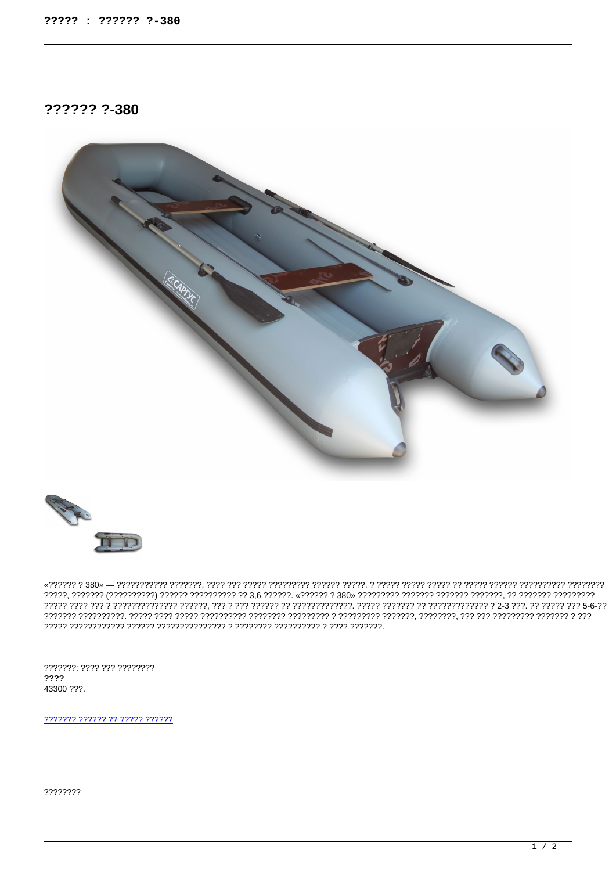?????? ?-380





. 1777772 או 2007 – 277777777777 היהוד היהוד היהוד היהוד היהוד היהוד היהוד היהוד היה היהוד היהוד היהוד היהוד ה 

???????: ???? ??? ????????  $2222$ 43300 ???.

2222222 222222 22 22222 222222

????????